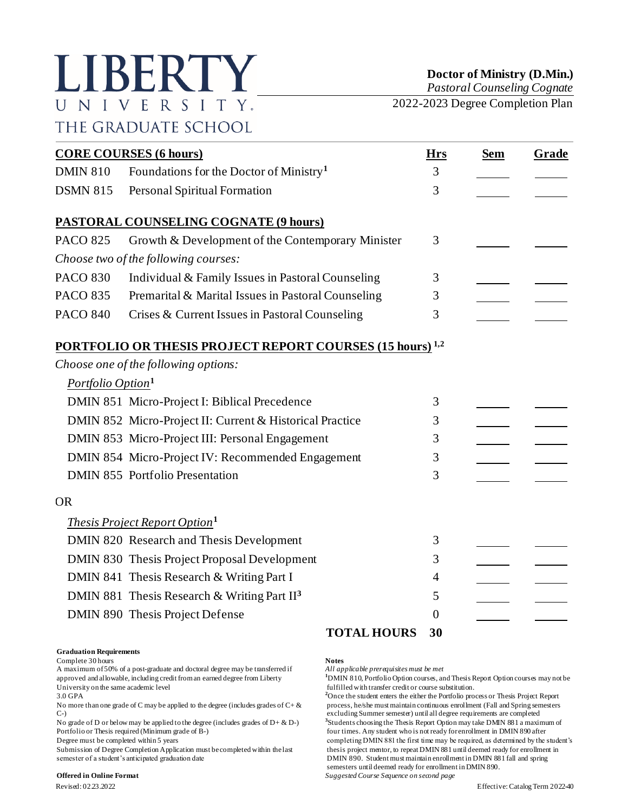# LIBERTY UNIVERSITY. THE GRADUATE SCHOOL

**Doctor of Ministry (D.Min.)**

*Pastoral Counseling Cognate*

2022-2023 Degree Completion Plan

| <b>CORE COURSES (6 hours)</b> |                                                                             |    | <b>Sem</b> | Grade |
|-------------------------------|-----------------------------------------------------------------------------|----|------------|-------|
| <b>DMIN 810</b>               | Foundations for the Doctor of Ministry <sup>1</sup>                         | 3  |            |       |
| <b>DSMN 815</b>               | Personal Spiritual Formation                                                | 3  |            |       |
|                               | <b>PASTORAL COUNSELING COGNATE (9 hours)</b>                                |    |            |       |
| <b>PACO 825</b>               | Growth & Development of the Contemporary Minister                           | 3  |            |       |
|                               | Choose two of the following courses:                                        |    |            |       |
| <b>PACO 830</b>               | Individual & Family Issues in Pastoral Counseling                           | 3  |            |       |
| <b>PACO 835</b>               | Premarital & Marital Issues in Pastoral Counseling                          | 3  |            |       |
| <b>PACO 840</b>               | Crises & Current Issues in Pastoral Counseling                              | 3  |            |       |
|                               | <b>PORTFOLIO OR THESIS PROJECT REPORT COURSES (15 hours)</b> <sup>1,2</sup> |    |            |       |
|                               | Choose one of the following options:                                        |    |            |       |
| Portfolio Option <sup>1</sup> |                                                                             |    |            |       |
|                               | DMIN 851 Micro-Project I: Biblical Precedence                               | 3  |            |       |
|                               | DMIN 852 Micro-Project II: Current & Historical Practice                    | 3  |            |       |
|                               | DMIN 853 Micro-Project III: Personal Engagement                             | 3  |            |       |
|                               | DMIN 854 Micro-Project IV: Recommended Engagement                           | 3  |            |       |
|                               | <b>DMIN 855 Portfolio Presentation</b>                                      | 3  |            |       |
| <b>OR</b>                     |                                                                             |    |            |       |
|                               | <i>Thesis Project Report Option</i> <sup>1</sup>                            |    |            |       |
|                               | DMIN 820 Research and Thesis Development                                    | 3  |            |       |
|                               | DMIN 830 Thesis Project Proposal Development                                | 3  |            |       |
|                               | DMIN 841 Thesis Research & Writing Part I                                   | 4  |            |       |
|                               | DMIN 881 Thesis Research & Writing Part $II3$                               | 5  |            |       |
|                               | DMIN 890 Thesis Project Defense                                             | 0  |            |       |
|                               | <b>TOTAL HOURS</b>                                                          | 30 |            |       |

### **Graduation Requirements**

Complete 30 hours<br>A maximum of 50% of a post-graduate and doctoral degree may be transferred if *All applicable prerequisites must be met* A maximum of 50% of a post-graduate and doctoral degree may be transferred if approved and allowable, including credit from an earned degree from Liberty approved and allowable, including credit from an earned degree from Liberty **1**DMIN 810, Portfolio Option courses, and Thesis Report Option courses may not be fulfilled with transfer credit or course substitution.

No more than one grade of C may be applied to the degree (includes grades of  $C + \&$ C-) excluding Summer semester) until all degree requirements are completed

No grade of D or below may be applied to the degree (includes grades of  $D + \& D$ -)<br>Portfolio or Thesis required (Minimum grade of B-)

Submission of Degree Completion Application must be completed within the last semester of a student's anticipated graduation date DMIN 890. Student must maintain enrollment in DMIN 881 fall and spring

### **Offered in Online Format** *Suggested Course Sequence on second page*

fulfilled with transfer credit or course substitution.

3.0 GPA<br>No more than one grade of C may be applied to the degree (includes grades of C+ &<br>No more than one grade of C may be applied to the degree (includes grades of C+ &<br>process, he/she must maintain continuous enrollmen **3** Students choosing the Thesis Report Option may take DMIN 881 a maximum of four times. Any student who is not ready for enrollment in DMIN 890 after Degree must be completed within 5 years completed within the last completing DMIN 881 the first time may be required, as determined by the student's Submission of Degree Completion Application must be completed within the semesters until deemed ready for enrollment in DMIN 890.